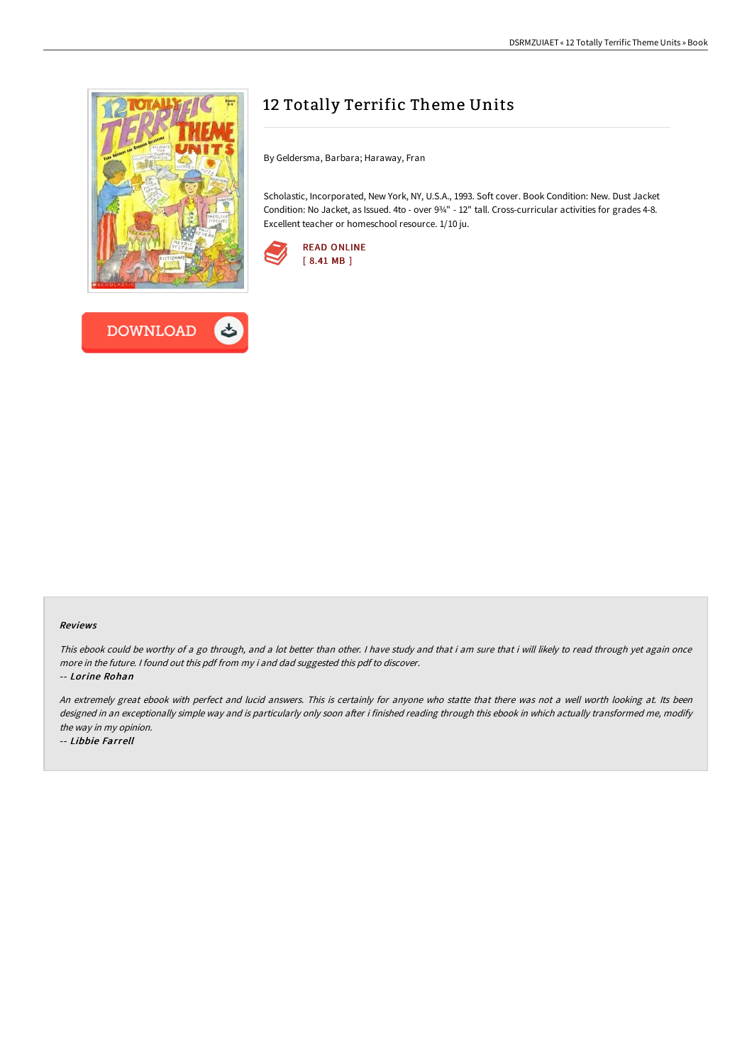



# 12 Totally Terrific Theme Units

By Geldersma, Barbara; Haraway, Fran

Scholastic, Incorporated, New York, NY, U.S.A., 1993. Soft cover. Book Condition: New. Dust Jacket Condition: No Jacket, as Issued. 4to - over 9¾" - 12" tall. Cross-curricular activities for grades 4-8. Excellent teacher or homeschool resource. 1/10 ju.



#### Reviews

This ebook could be worthy of a go through, and a lot better than other. I have study and that i am sure that i will likely to read through yet again once more in the future. <sup>I</sup> found out this pdf from my i and dad suggested this pdf to discover.

-- Lorine Rohan

An extremely great ebook with perfect and lucid answers. This is certainly for anyone who statte that there was not a well worth looking at. Its been designed in an exceptionally simple way and is particularly only soon after i finished reading through this ebook in which actually transformed me, modify the way in my opinion.

-- Libbie Farrell